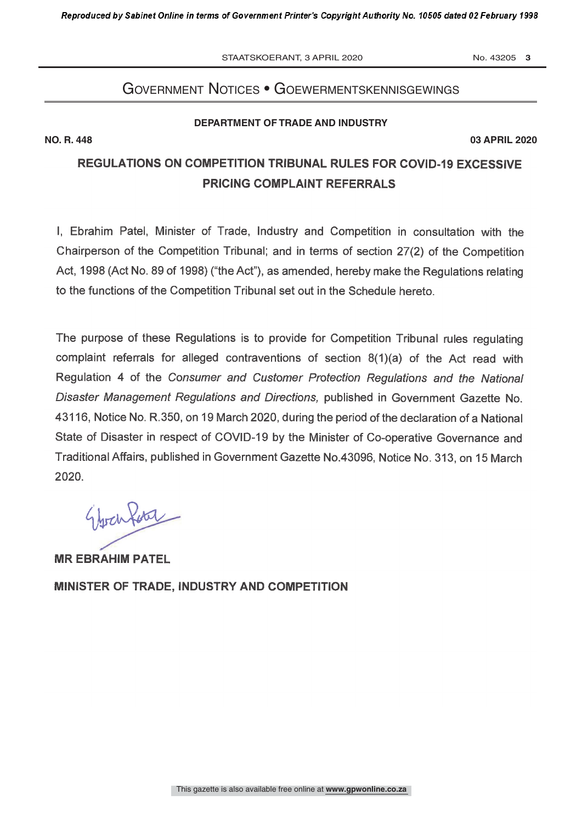STAATSKOERANT, 3 APRIL 2020 No. 43205 3

## Government notices • GoewermentskennisGewinGs

### **DEPARTMENT OF TRADE AND INDUSTRY**

**NO. R. 448 03 APRIL 2020**

# REGULATIONS ON COMPETITION TRIBUNAL RULES FOR COVID -19 EXCESSIVE PRICING COMPLAINT REFERRALS

I, Ebrahim Patel, Minister of Trade, Industry and Competition in consultation with the Chairperson of the Competition Tribunal; and in terms of section 27(2) of the Competition Act, 1998 (Act No. 89 of 1998) ("the Act"), as amended, hereby make the Regulations relating to the functions of the Competition Tribunal set out in the Schedule hereto.

The purpose of these Regulations is to provide for Competition Tribunal rules regulating complaint referrals for alleged contraventions of section 8(1)(a) of the Act read with Regulation 4 of the Consumer and Customer Protection Regulations and the National Disaster Management Regulations and Directions, published in Government Gazette No. 43116, Notice No. R.350, on 19 March 2020, during the period of the declaration of a National State of Disaster in respect of COVID-19 by the Minister of Co-operative Governance and Traditional Affairs, published in Government Gazette No.43096, Notice No. 313, on 15 March 2020.

Eberhar

MR EBRAHIM PATEL MINISTER OF TRADE, INDUSTRY AND COMPETITION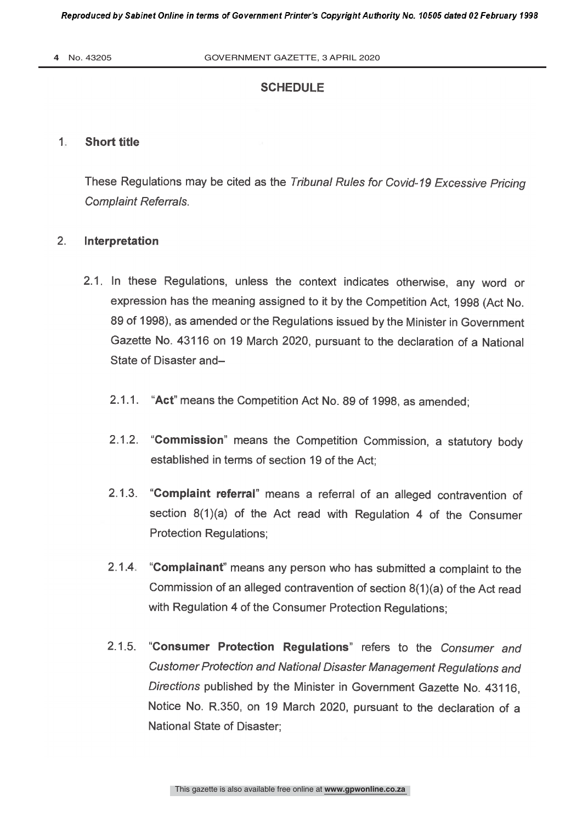### **SCHEDULE**

#### $1$ : **Short title**

These Regulations may be cited as the Tribunal Rules for Covid-19 Excessive Pricing Complaint Referrals.

### 2. Interpretation

- 2.1 In these Regulations, unless the context indicates otherwise, any word or expression has the meaning assigned to it by the Competition Act, 1998 (Act No. 89 of 1998), as amended or the Regulations issued by the Minister in Government Gazette No. 43116 on 19 March 2020, pursuant to the declaration of a National State of Disaster and-
	- 2.1.1. "Act" means the Competition Act No. 89 of 1998, as amended;
	- 2.1.2. "Commission" means the Competition Commission, a statutory body established in terms of section 19 of the Act;
	- 2.1.3. "Complaint referral" means a referral of an alleged contravention of section 8(1)(a) of the Act read with Regulation 4 of the Consumer Protection Regulations;
	- 2.1 4 "Complainant" means any person who has submitted a complaint to the Commission of an alleged contravention of section 8(1)(a) of the Act read with Regulation 4 of the Consumer Protection Regulations;
	- 2.1.5. "Consumer Protection Regulations" refers to the Consumer and Customer Protection and National Disaster Management Regulations and Directions published by the Minister in Government Gazette No. 43116, Notice No. R.350, on 19 March 2020, pursuant to the declaration of a National State of Disaster;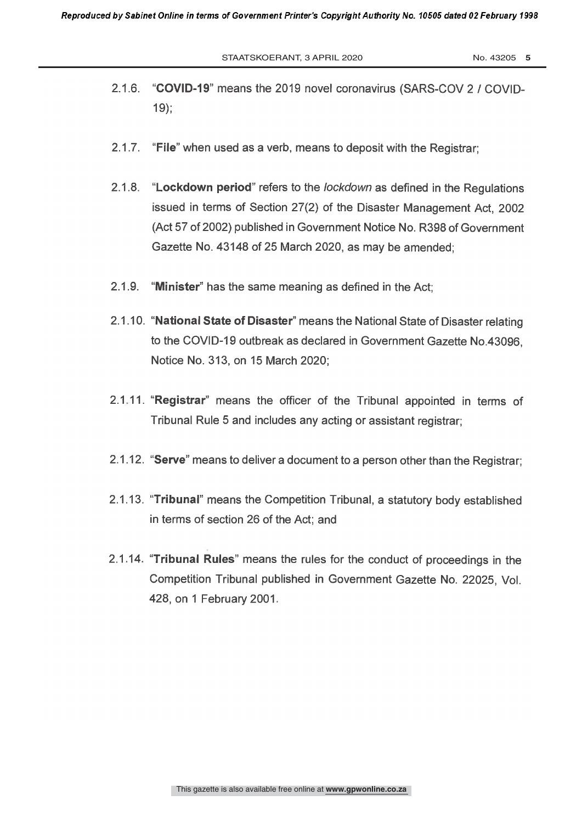STAATSKOERANT, 3 APRIL 2020 No. 43205 5

- "COVID-19" means the 2019 novel coronavirus (SARS-COV 2 / COVID- $2.1.6$  $19;$
- 2.1.7. "File" when used as a verb, means to deposit with the Registrar;
- 2.1.8. "Lockdown period" refers to the *lockdown* as defined in the Regulations issued in terms of Section 27(2) of the Disaster Management Act, 2002 (Act 57 of 2002) published in Government Notice No. R398 of Government Gazette No. 43148 of 25 March 2020, as may be amended;
- 2.1.9. "Minister" has the same meaning as defined in the Act;
- 2.1.10. "National State of Disaster" means the National State of Disaster relating to the COVID-19 outbreak as declared in Government Gazette No.43096. Notice No. 313, on 15 March 2020;
- 2.1 11. "Registrar" means the officer of the Tribunal appointed in terms of Tribunal Rule 5 and includes any acting or assistant registrar;
- 2.1.12. "Serve" means to deliver a document to a person other than the Registrar;
- 2.1.13. "Tribunal" means the Competition Tribunal, a statutory body established in terms of section 26 of the Act; and
- 2.1 14 "Tribunal Rules" means the rules for the conduct of proceedings in the Competition Tribunal published in Government Gazette No. 22025, Vol. 428, on 1 February 2001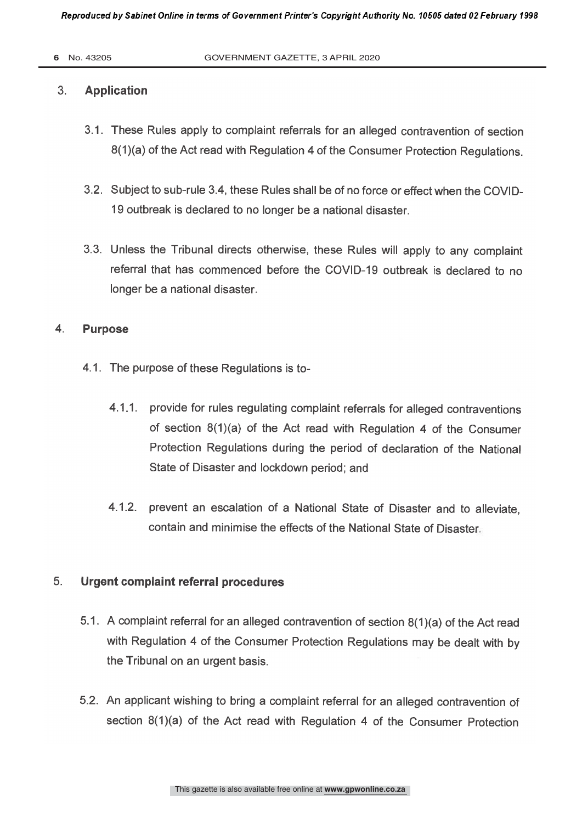#### $3.$ **Application**

- 3.1. These Rules apply to complaint referrals for an alleged contravention of section 8(1)(a) of the Act read with Regulation 4 of the Consumer Protection Regulations.
- 3.2. Subject to sub-rule 3.4, these Rules shall be of no force or effect when the COVID-19 outbreak is declared to no longer be a national disaster.
- 3.3. Unless the Tribunal directs otherwise, these Rules will apply to any complaint referral that has commenced before the COVID-19 outbreak is declared to no longer be a national disaster

### 4. Purpose

- 4.1. The purpose of these Regulations is to-
	- 4.1.1. provide for rules regulating complaint referrals for alleged contraventions of section 8(1)(a) of the Act read with Regulation 4 of the Consumer Protection Regulations during the period of declaration of the National State of Disaster and lockdown period; and
	- 4.1.2. prevent an escalation of a National State of Disaster and to alleviate, contain and minimise the effects of the National State of Disaster

#### 5. Urgent complaint referral procedures

- 5.1. A complaint referral for an alleged contravention of section 8(1)(a) of the Act read with Regulation 4 of the Consumer Protection Regulations may be dealt with by the Tribunal on an urgent basis.
- 5.2. An applicant wishing to bring a complaint referral for an alleged contravention of section 8(1)(a) of the Act read with Regulation 4 of the Consumer Protection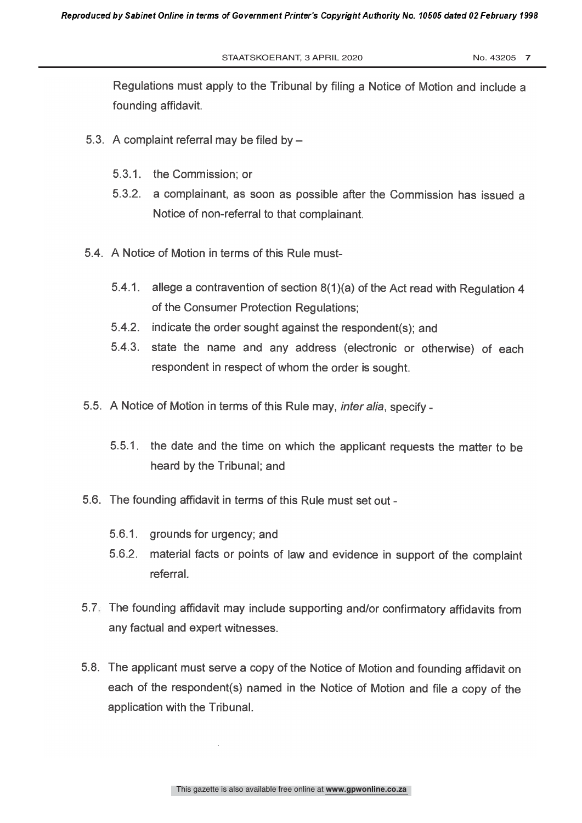Regulations must apply to the Tribunal by filing a Notice of Motion and include a founding affidavit.

- 5.3. A complaint referral may be filed by
	- 5.3.1. the Commission; or
	- 5.3.2. a complainant, as soon as possible after the Commission has issued a Notice of non-referral to that complainant.
- 5.4. A Notice of Motion in terms of this Rule must-
	- 5.4.1 allege a contravention of section 8(1)(a) of the Act read with Regulation 4 of the Consumer Protection Regulations;
	- 5.4.2. indicate the order sought against the respondent(s); and
	- 5.4.3. state the name and any address (electronic or otherwise) of each respondent in respect of whom the order is sought.
- 5.5. A Notice of Motion in terms of this Rule may, *inter alia*, specify -
	- 5.5.1 the date and the time on which the applicant requests the matter to be heard by the Tribunal; and
- 5.6. The founding affidavit in terms of this Rule must set out
	- 5.6.1. grounds for urgency; and
	- 5.6.2. material facts or points of law and evidence in support of the complaint referral.
- 5.7. The founding affidavit may include supporting and/or confirmatory affidavits from any factual and expert witnesses.
- 5.8. The applicant must serve a copy of the Notice of Motion and founding affidavit on each of the respondent(s) named in the Notice of Motion and file a copy of the application with the Tribunal.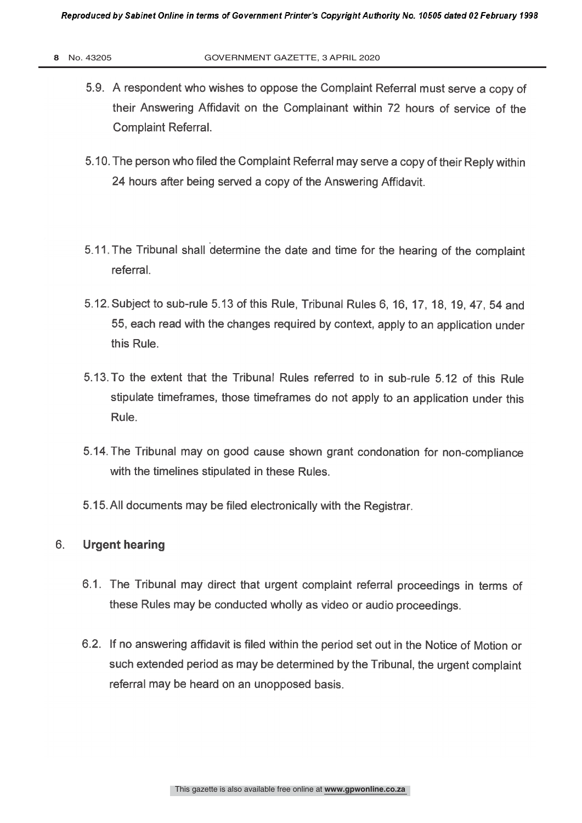- 5.9. A respondent who wishes to oppose the Complaint Referral must serve a copy of their Answering Affidavit on the Complainant within 72 hours of service of the **Complaint Referral.**
- 5.10. The person who filed the Complaint Referral may serve a copy of their Reply within 24 hours after being served a copy of the Answering Affidavit.
- 5.11 The Tribunal shall determine the date and time for the hearing of the complaint referral.
- 5.12. Subject to sub -rule 5.13 of this Rule, Tribunal Rules 6, 16, 17, 18, 19, 47, 54 and 55, each read with the changes required by context, apply to an application under this Rule.
- 5.13. To the extent that the Tribunal Rules referred to in sub -rule 5.12 of this Rule stipulate timeframes, those timeframes do not apply to an application under this Rule.
- 5.14. The Tribunal may on good cause shown grant condonation for non -compliance with the timelines stipulated in these Rules.
- 5.15. All documents may be filed electronically with the Registrar.

### 6. **Urgent hearing**

- 6.1. The Tribunal may direct that urgent complaint referral proceedings in terms of these Rules may be conducted wholly as video or audio proceedings.
- 6.2. If no answering affidavit is filed within the period set out in the Notice of Motion or such extended period as may be determined by the Tribunal, the urgent complaint referral may be heard on an unopposed basis.